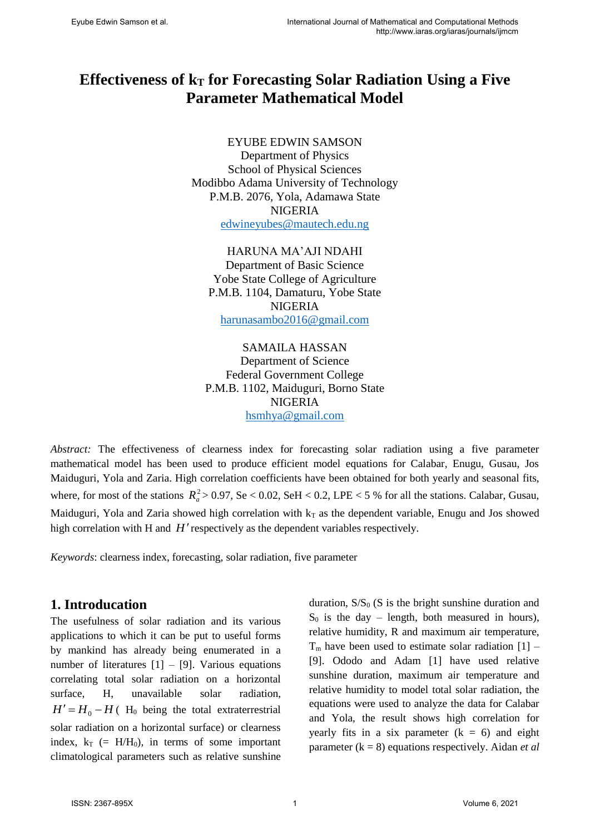# **Effectiveness of k<sup>T</sup> for Forecasting Solar Radiation Using a Five Parameter Mathematical Model**

### EYUBE EDWIN SAMSON

Department of Physics School of Physical Sciences Modibbo Adama University of Technology P.M.B. 2076, Yola, Adamawa State NIGERIA [edwineyubes@mautech.edu.ng](mailto:edwineyubes@mautech.edu.ng)

HARUNA MA'AJI NDAHI Department of Basic Science Yobe State College of Agriculture P.M.B. 1104, Damaturu, Yobe State NIGERIA [harunasambo2016@gmail.com](mailto:harunasambo2016@gmail.com)

SAMAILA HASSAN Department of Science Federal Government College P.M.B. 1102, Maiduguri, Borno State NIGERIA [hsmhya@gmail.com](mailto:hsmhya@gmail.com)

*Abstract:* The effectiveness of clearness index for forecasting solar radiation using a five parameter mathematical model has been used to produce efficient model equations for Calabar, Enugu, Gusau, Jos Maiduguri, Yola and Zaria. High correlation coefficients have been obtained for both yearly and seasonal fits, where, for most of the stations  $R_a^2 > 0.97$ , Se  $< 0.02$ , SeH  $< 0.2$ , LPE  $< 5$  % for all the stations. Calabar, Gusau, Maiduguri, Yola and Zaria showed high correlation with  $k<sub>T</sub>$  as the dependent variable, Enugu and Jos showed high correlation with H and H' respectively as the dependent variables respectively.

*Keywords*: clearness index, forecasting, solar radiation, five parameter

# **1. Introducation**

The usefulness of solar radiation and its various applications to which it can be put to useful forms by mankind has already being enumerated in a number of literatures  $[1] - [9]$ . Various equations correlating total solar radiation on a horizontal surface, H, unavailable solar radiation,  $H' = H_0 - H$  (H<sub>0</sub> being the total extraterrestrial solar radiation on a horizontal surface) or clearness index,  $k_T$  (= H/H<sub>0</sub>), in terms of some important climatological parameters such as relative sunshine

duration,  $S/S_0$  (S is the bright sunshine duration and  $S_0$  is the day – length, both measured in hours), relative humidity, R and maximum air temperature,  $T_m$  have been used to estimate solar radiation  $[1]$  – [9]. Ododo and Adam [1] have used relative sunshine duration, maximum air temperature and relative humidity to model total solar radiation, the equations were used to analyze the data for Calabar and Yola, the result shows high correlation for yearly fits in a six parameter  $(k = 6)$  and eight parameter (k = 8) equations respectively. Aidan *et al*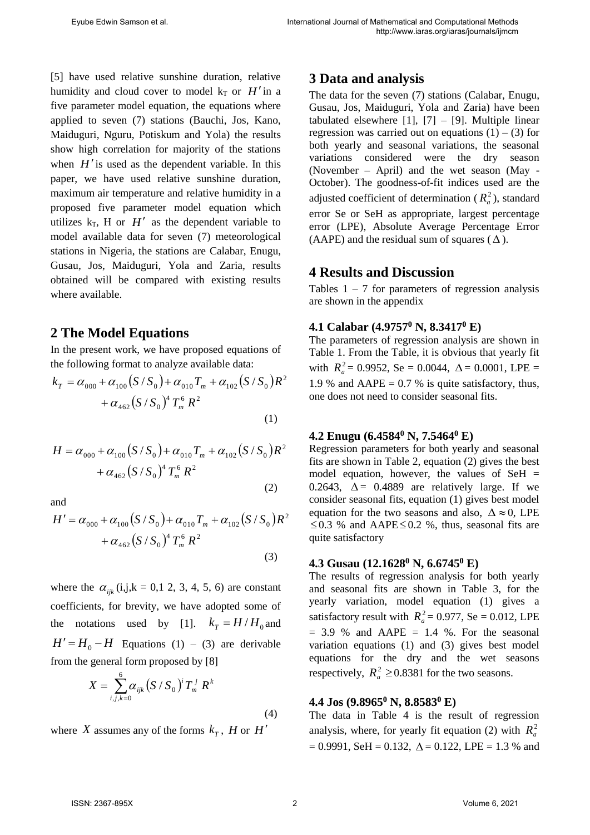[5] have used relative sunshine duration, relative humidity and cloud cover to model  $k_T$  or  $H'$  in a five parameter model equation, the equations where applied to seven (7) stations (Bauchi, Jos, Kano, Maiduguri, Nguru, Potiskum and Yola) the results show high correlation for majority of the stations when  $H'$  is used as the dependent variable. In this paper, we have used relative sunshine duration, maximum air temperature and relative humidity in a proposed five parameter model equation which utilizes  $k_T$ , H or  $H'$  as the dependent variable to model available data for seven (7) meteorological stations in Nigeria, the stations are Calabar, Enugu, Gusau, Jos, Maiduguri, Yola and Zaria, results obtained will be compared with existing results where available.

# **2 The Model Equations**

In the present work, we have proposed equations of<br>the following format to analyze available data:<br> $k_T = \alpha_{000} + \alpha_{100} (S/S_0) + \alpha_{010} T_m + \alpha_{102} (S/S_0) R^2$  1.9

the following format to analyze available data:  
\n
$$
k_T = \alpha_{000} + \alpha_{100} (S/S_0) + \alpha_{010} T_m + \alpha_{102} (S/S_0) R^2
$$
\n
$$
+ \alpha_{462} (S/S_0)^4 T_m^6 R^2
$$
\n(1)

(1)  
\n
$$
H = \alpha_{000} + \alpha_{100} (S/S_0) + \alpha_{010} T_m + \alpha_{102} (S/S_0) R^2
$$
\n
$$
+ \alpha_{462} (S/S_0)^4 T_m^6 R^2
$$
\n(2)  
\n(3)  
\n(4.2)  
\n4.2  
\nRes  
\nfirst  
\n(1)  
\n(1)  
\n(2)

and

and  
\n
$$
H' = \alpha_{000} + \alpha_{100} (S/S_0) + \alpha_{010} T_m + \alpha_{102} (S/S_0) R^2
$$
\n
$$
+ \alpha_{462} (S/S_0)^4 T_m^6 R^2
$$
\n(3)

where the  $\alpha_{ijk}$  (i,j,k = 0,1 2, 3, 4, 5, 6) are constant coefficients, for brevity, we have adopted some of the notations used by [1].  $k_T = H/H_0$  and  $H' = H_0 - H$  Equations (1) – (3) are derivable from the general form proposed by [8]

$$
X = \sum_{i,j,k=0}^{6} \alpha_{ijk} (S/S_0)^i T_m^j R^k
$$
\n(4)

where X assumes any of the forms  $k_T$ , H or H'

# **3 Data and analysis**

The data for the seven (7) stations (Calabar, Enugu, Gusau, Jos, Maiduguri, Yola and Zaria) have been tabulated elsewhere  $[1]$ ,  $[7] - [9]$ . Multiple linear regression was carried out on equations  $(1) - (3)$  for both yearly and seasonal variations, the seasonal variations considered were the dry season (November – April) and the wet season (May - October). The goodness-of-fit indices used are the adjusted coefficient of determination ( $R_a^2$ ), standard error Se or SeH as appropriate, largest percentage error (LPE), Absolute Average Percentage Error (AAPE) and the residual sum of squares  $(\Delta)$ .

# **4 Results and Discussion**

Tables  $1 - 7$  for parameters of regression analysis are shown in the appendix

### **4.1 Calabar (4.9757<sup>0</sup> N, 8.3417<sup>0</sup> E)**

The parameters of regression analysis are shown in Table 1. From the Table, it is obvious that yearly fit with  $R_a^2 = 0.9952$ , Se = 0.0044,  $\Delta = 0.0001$ , LPE = 1.9 % and  $AAPE = 0.7$  % is quite satisfactory, thus, one does not need to consider seasonal fits.

### **4.2 Enugu (6.4584<sup>0</sup> N, 7.5464<sup>0</sup> E)**

Regression parameters for both yearly and seasonal fits are shown in Table 2, equation (2) gives the best model equation, however, the values of  $SeH =$ 0.2643,  $\Delta$  = 0.4889 are relatively large. If we consider seasonal fits, equation (1) gives best model equation for the two seasons and also,  $\Delta \approx 0$ , LPE  $\leq 0.3$  % and AAPE $\leq 0.2$  %, thus, seasonal fits are quite satisfactory

### **4.3 Gusau (12.1628<sup>0</sup> N, 6.6745<sup>0</sup> E)**

The results of regression analysis for both yearly and seasonal fits are shown in Table 3, for the yearly variation, model equation (1) gives a satisfactory result with  $R_a^2 = 0.977$ , Se = 0.012, LPE  $= 3.9$  % and AAPE  $= 1.4$  %. For the seasonal variation equations (1) and (3) gives best model equations for the dry and the wet seasons respectively,  $R_a^2 \ge 0.8381$  for the two seasons.

# **4.4 Jos (9.8965<sup>0</sup> N, 8.8583<sup>0</sup> E)**

The data in Table 4 is the result of regression analysis, where, for yearly fit equation (2) with  $R_a^2$  $= 0.9991$ , SeH  $= 0.132$ ,  $\Delta = 0.122$ , LPE  $= 1.3$  % and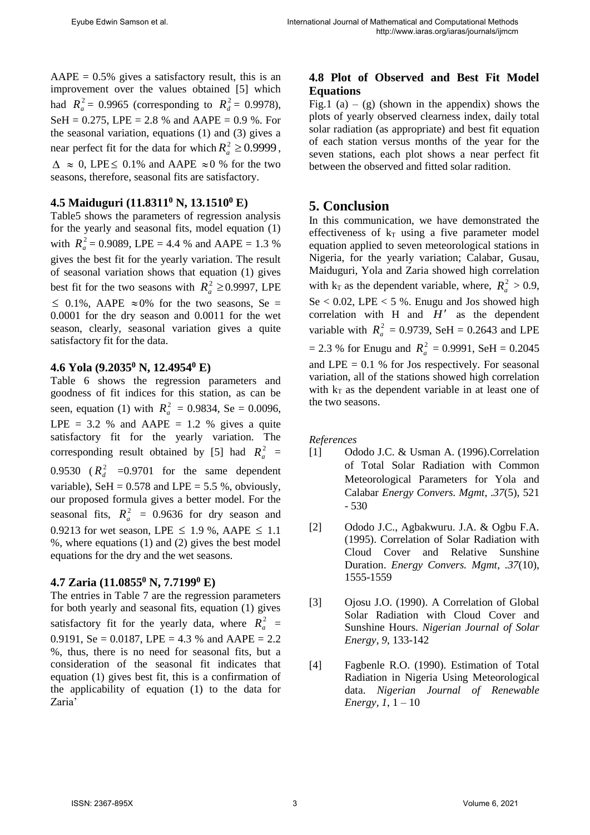$AAPE = 0.5\%$  gives a satisfactory result, this is an improvement over the values obtained [5] which had  $R_a^2 = 0.9965$  (corresponding to  $R_d^2 = 0.9978$ ), SeH =  $0.275$ , LPE =  $2.8$  % and AAPE =  $0.9$  %. For the seasonal variation, equations (1) and (3) gives a near perfect fit for the data for which  $R_a^2 \ge 0.9999$ ,  $\Delta \approx 0$ , LPE  $\leq 0.1\%$  and AAPE  $\approx 0\%$  for the two seasons, therefore, seasonal fits are satisfactory.

#### **4.5 Maiduguri (11.8311<sup>0</sup> N, 13.1510<sup>0</sup> E)**

Table5 shows the parameters of regression analysis for the yearly and seasonal fits, model equation (1) with  $R_a^2 = 0.9089$ , LPE = 4.4 % and AAPE = 1.3 % gives the best fit for the yearly variation. The result of seasonal variation shows that equation (1) gives best fit for the two seasons with  $R_a^2 \ge 0.9997$ , LPE  $\leq$  0.1%, AAPE  $\approx$  0% for the two seasons, Se = 0.0001 for the dry season and 0.0011 for the wet season, clearly, seasonal variation gives a quite satisfactory fit for the data.

#### **4.6 Yola (9.2035<sup>0</sup> N, 12.4954<sup>0</sup> E)**

Table 6 shows the regression parameters and goodness of fit indices for this station, as can be seen, equation (1) with  $R_a^2 = 0.9834$ , Se = 0.0096, LPE =  $3.2$  % and AAPE =  $1.2$  % gives a quite satisfactory fit for the yearly variation. The corresponding result obtained by [5] had  $R_a^2$  = 0.9530  $(R_d^2$  =0.9701 for the same dependent variable), SeH =  $0.578$  and LPE =  $5.5$ %, obviously, our proposed formula gives a better model. For the seasonal fits,  $R_a^2 = 0.9636$  for dry season and 0.9213 for wet season, LPE  $\leq$  1.9 %, AAPE  $\leq$  1.1 %, where equations (1) and (2) gives the best model equations for the dry and the wet seasons.

#### **4.7 Zaria (11.0855<sup>0</sup> N, 7.7199<sup>0</sup> E)**

The entries in Table 7 are the regression parameters for both yearly and seasonal fits, equation (1) gives satisfactory fit for the yearly data, where  $R_a^2$  = 0.9191, Se = 0.0187, LPE = 4.3 % and AAPE = 2.2 %, thus, there is no need for seasonal fits, but a consideration of the seasonal fit indicates that equation (1) gives best fit, this is a confirmation of the applicability of equation (1) to the data for Zaria'

### **4.8 Plot of Observed and Best Fit Model Equations**

Fig.1 (a) – (g) (shown in the appendix) shows the plots of yearly observed clearness index, daily total solar radiation (as appropriate) and best fit equation of each station versus months of the year for the seven stations, each plot shows a near perfect fit between the observed and fitted solar radition.

# **5. Conclusion**

In this communication, we have demonstrated the effectiveness of  $k_T$  using a five parameter model equation applied to seven meteorological stations in Nigeria, for the yearly variation; Calabar, Gusau, Maiduguri, Yola and Zaria showed high correlation with  $k_T$  as the dependent variable, where,  $R_a^2 > 0.9$ , Se  $< 0.02$ , LPE  $< 5$  %. Enugu and Jos showed high correlation with  $H$  and  $H'$  as the dependent variable with  $R_a^2 = 0.9739$ , SeH = 0.2643 and LPE  $= 2.3$  % for Enugu and  $R_a^2 = 0.9991$ , SeH  $= 0.2045$ and LPE  $= 0.1$  % for Jos respectively. For seasonal variation, all of the stations showed high correlation with  $k_T$  as the dependent variable in at least one of the two seasons.

#### *References*

- [1] Ododo J.C. & Usman A. (1996).Correlation of Total Solar Radiation with Common Meteorological Parameters for Yola and Calabar *Energy Convers. Mgmt*, *.37*(5), 521 - 530
- [2] Ododo J.C., Agbakwuru. J.A. & Ogbu F.A. (1995). Correlation of Solar Radiation with Cloud Cover and Relative Sunshine Duration. *Energy Convers. Mgmt*, *.37*(10), 1555-1559
- [3] Ojosu J.O. (1990). A Correlation of Global Solar Radiation with Cloud Cover and Sunshine Hours. *Nigerian Journal of Solar Energy, 9*, 133-142
- [4] Fagbenle R.O. (1990). Estimation of Total Radiation in Nigeria Using Meteorological data. *Nigerian Journal of Renewable Energy, 1*, 1 – 10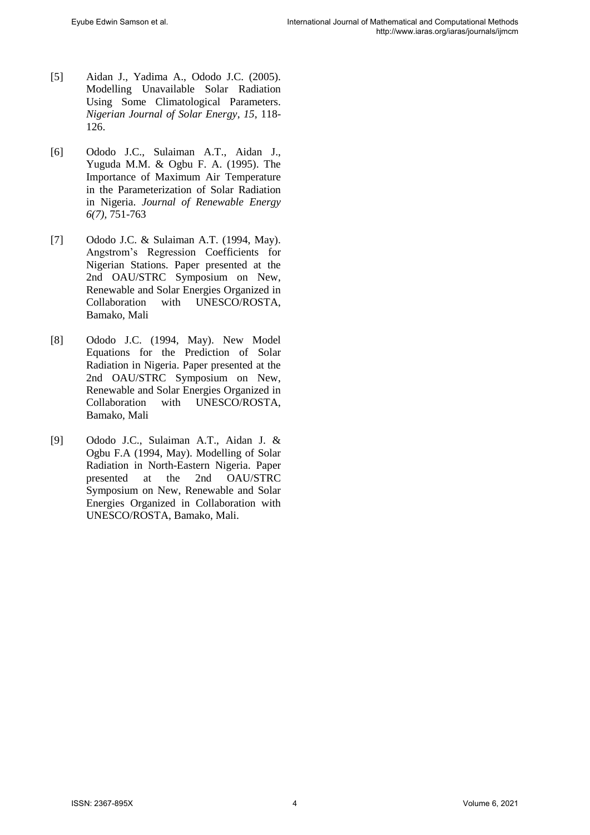- [5] Aidan J., Yadima A., Ododo J.C. (2005). Modelling Unavailable Solar Radiation Using Some Climatological Parameters. *Nigerian Journal of Solar Energy*, *15*, 118- 126.
- [6] Ododo J.C., Sulaiman A.T., Aidan J., Yuguda M.M. & Ogbu F. A. (1995). The Importance of Maximum Air Temperature in the Parameterization of Solar Radiation in Nigeria. *Journal of Renewable Energy 6(7),* 751-763
- [7] Ododo J.C. & Sulaiman A.T. (1994, May). Angstrom's Regression Coefficients for Nigerian Stations. Paper presented at the 2nd OAU/STRC Symposium on New, Renewable and Solar Energies Organized in Collaboration with UNESCO/ROSTA, Bamako, Mali
- [8] Ododo J.C. (1994, May). New Model Equations for the Prediction of Solar Radiation in Nigeria. Paper presented at the 2nd OAU/STRC Symposium on New, Renewable and Solar Energies Organized in Collaboration with UNESCO/ROSTA, Bamako, Mali
- [9] Ododo J.C., Sulaiman A.T., Aidan J. & Ogbu F.A (1994, May). Modelling of Solar Radiation in North-Eastern Nigeria. Paper presented at the 2nd OAU/STRC Symposium on New, Renewable and Solar Energies Organized in Collaboration with UNESCO/ROSTA, Bamako, Mali.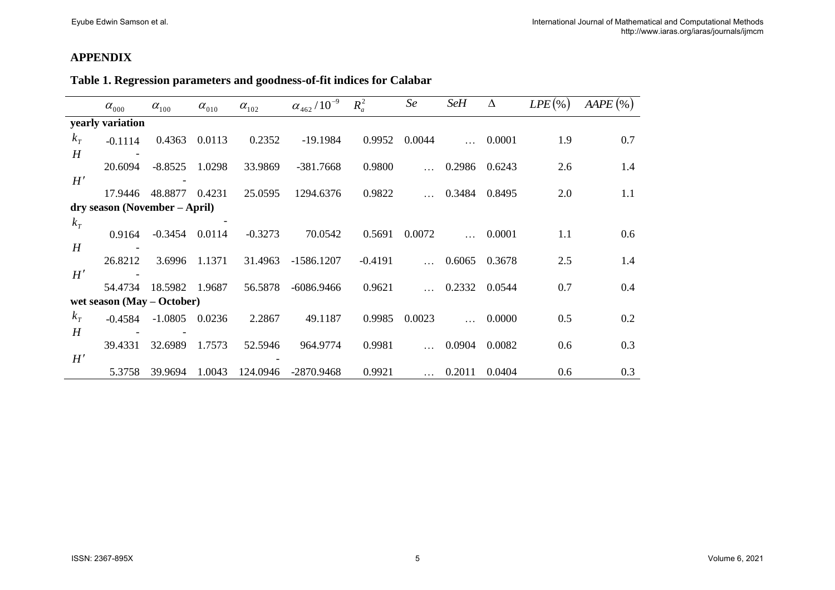## **APPENDIX**

# **Table 1. Regression parameters and goodness-of-fit indices for Calabar**

|       | $\alpha_{000}$                | $\alpha_{100}$ | $\alpha_{010}$ | $\alpha_{102}$ | $\alpha_{462}/10^{-9}$ | $R_a^2$   | Se     | <b>SeH</b> | Δ      | $LPE(\%)$ | $AAPE$ (%) |
|-------|-------------------------------|----------------|----------------|----------------|------------------------|-----------|--------|------------|--------|-----------|------------|
|       | yearly variation              |                |                |                |                        |           |        |            |        |           |            |
| $k_T$ | $-0.1114$                     | 0.4363         | 0.0113         | 0.2352         | $-19.1984$             | 0.9952    | 0.0044 |            | 0.0001 | 1.9       | 0.7        |
| H     |                               |                |                |                |                        |           |        |            |        |           |            |
|       | 20.6094                       | $-8.8525$      | 1.0298         | 33.9869        | $-381.7668$            | 0.9800    |        | 0.2986     | 0.6243 | 2.6       | 1.4        |
| H'    |                               |                |                |                |                        |           |        |            |        |           |            |
|       | 17.9446                       | 48.8877        | 0.4231         | 25.0595        | 1294.6376              | 0.9822    |        | 0.3484     | 0.8495 | 2.0       | 1.1        |
|       | dry season (November – April) |                |                |                |                        |           |        |            |        |           |            |
| $k_T$ |                               |                |                |                |                        |           |        |            |        |           |            |
|       | 0.9164                        | -0.3454        | 0.0114         | $-0.3273$      | 70.0542                | 0.5691    | 0.0072 |            | 0.0001 | 1.1       | 0.6        |
| H     |                               |                |                |                |                        |           |        |            |        |           |            |
|       | 26.8212                       | 3.6996         | 1.1371         | 31.4963        | $-1586.1207$           | $-0.4191$ |        | 0.6065     | 0.3678 | 2.5       | 1.4        |
| H'    |                               |                |                |                |                        |           |        |            |        |           |            |
|       | 54.4734                       | 18.5982        | 1.9687         | 56.5878        | $-6086.9466$           | 0.9621    |        | 0.2332     | 0.0544 | 0.7       | 0.4        |
|       | wet season $(May - October)$  |                |                |                |                        |           |        |            |        |           |            |
| $k_T$ | $-0.4584$                     | $-1.0805$      | 0.0236         | 2.2867         | 49.1187                | 0.9985    | 0.0023 |            | 0.0000 | 0.5       | 0.2        |
| H     |                               |                |                |                |                        |           |        |            |        |           |            |
|       | 39.4331                       | 32.6989        | 1.7573         | 52.5946        | 964.9774               | 0.9981    |        | 0.0904     | 0.0082 | 0.6       | 0.3        |
| H'    |                               |                |                |                |                        |           |        |            |        |           |            |
|       | 5.3758                        | 39.9694        | 1.0043         | 124.0946       | $-2870.9468$           | 0.9921    |        | 0.2011     | 0.0404 | 0.6       | 0.3        |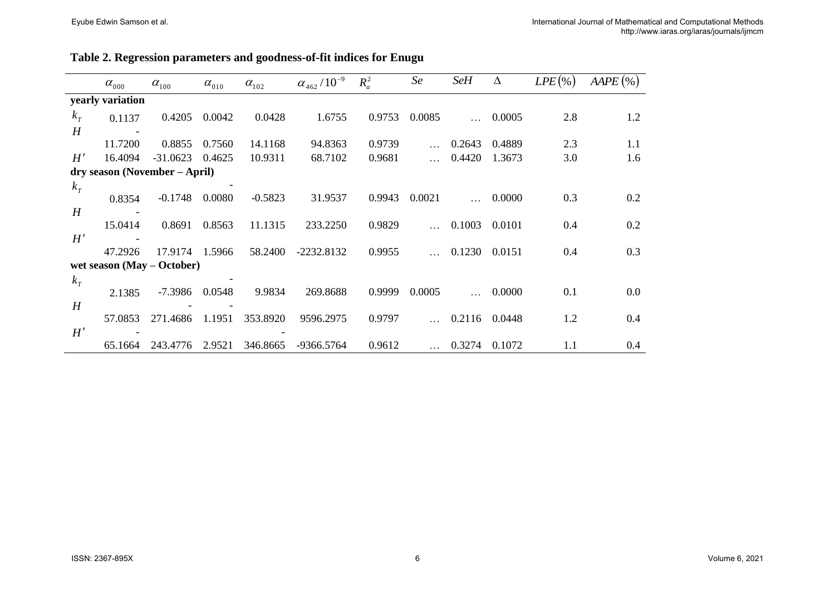| Table 2. Regression parameters and goodness-of-fit indices for Enugu |  |
|----------------------------------------------------------------------|--|
|----------------------------------------------------------------------|--|

|       | $\alpha_{000}$   | $\alpha_{\scriptscriptstyle 100}^{}$ | $\alpha_{010}$ | $\alpha_{102}$ | $\alpha_{\scriptscriptstyle 462}$ / $10^{-9}$ | $R_a^2$ | Se     | <b>SeH</b> | Δ      | $LPE(\% )$ | $AAPE$ (%) |
|-------|------------------|--------------------------------------|----------------|----------------|-----------------------------------------------|---------|--------|------------|--------|------------|------------|
|       | yearly variation |                                      |                |                |                                               |         |        |            |        |            |            |
| $k_T$ | 0.1137           | 0.4205                               | 0.0042         | 0.0428         | 1.6755                                        | 0.9753  | 0.0085 |            | 0.0005 | 2.8        | 1.2        |
| H     |                  |                                      |                |                |                                               |         |        |            |        |            |            |
|       | 11.7200          | 0.8855                               | 0.7560         | 14.1168        | 94.8363                                       | 0.9739  |        | 0.2643     | 0.4889 | 2.3        | 1.1        |
| H'    | 16.4094          | $-31.0623$                           | 0.4625         | 10.9311        | 68.7102                                       | 0.9681  |        | 0.4420     | 1.3673 | 3.0        | 1.6        |
|       |                  | dry season (November – April)        |                |                |                                               |         |        |            |        |            |            |
| $k_T$ |                  |                                      |                |                |                                               |         |        |            |        |            |            |
|       | 0.8354           | $-0.1748$                            | 0.0080         | $-0.5823$      | 31.9537                                       | 0.9943  | 0.0021 |            | 0.0000 | 0.3        | 0.2        |
| H     |                  |                                      |                |                |                                               |         |        |            |        |            |            |
|       | 15.0414          | 0.8691                               | 0.8563         | 11.1315        | 233.2250                                      | 0.9829  |        | 0.1003     | 0.0101 | 0.4        | 0.2        |
| H'    |                  |                                      |                |                |                                               |         |        |            |        |            |            |
|       | 47.2926          | 17.9174                              | 1.5966         | 58.2400        | $-2232.8132$                                  | 0.9955  |        | 0.1230     | 0.0151 | 0.4        | 0.3        |
|       |                  | wet season $(May - October)$         |                |                |                                               |         |        |            |        |            |            |
| $k_T$ |                  |                                      |                |                |                                               |         |        |            |        |            |            |
|       | 2.1385           | -7.3986                              | 0.0548         | 9.9834         | 269.8688                                      | 0.9999  | 0.0005 |            | 0.0000 | 0.1        | 0.0        |
| H     |                  |                                      |                |                |                                               |         |        |            |        |            |            |
|       | 57.0853          | 271.4686                             | 1.1951         | 353.8920       | 9596.2975                                     | 0.9797  |        | 0.2116     | 0.0448 | 1.2        | 0.4        |
| H'    |                  |                                      |                |                |                                               |         |        |            |        |            |            |
|       | 65.1664          | 243.4776                             | 2.9521         | 346.8665       | -9366.5764                                    | 0.9612  |        | 0.3274     | 0.1072 | 1.1        | 0.4        |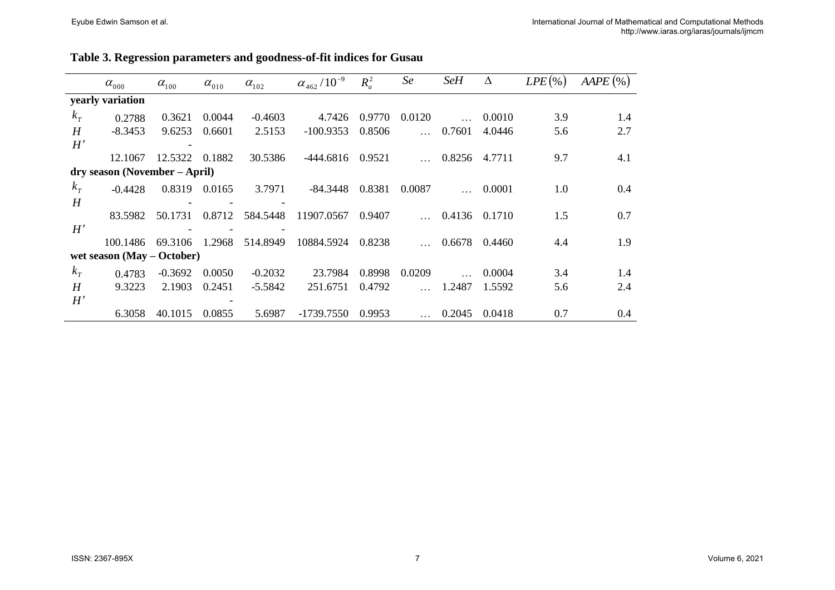|  | Table 3. Regression parameters and goodness-of-fit indices for Gusau |
|--|----------------------------------------------------------------------|
|--|----------------------------------------------------------------------|

|              | $\alpha_{000}$                | $\alpha_{100}$ | $\alpha_{\scriptscriptstyle 010}^{}$ | $\alpha_{102}$ | $\alpha_{462}/10^{-9}$ | $R_a^2$ | Se     | <b>SeH</b> | Δ             | $LPE$ (%) | $AAPE$ (%) |
|--------------|-------------------------------|----------------|--------------------------------------|----------------|------------------------|---------|--------|------------|---------------|-----------|------------|
|              | yearly variation              |                |                                      |                |                        |         |        |            |               |           |            |
| $k_T$        | 0.2788                        | 0.3621         | 0.0044                               | $-0.4603$      | 4.7426                 | 0.9770  | 0.0120 |            | 0.0010        | 3.9       | 1.4        |
| H            | $-8.3453$                     | 9.6253         | 0.6601                               | 2.5153         | $-100.9353$            | 0.8506  |        | 0.7601     | 4.0446        | 5.6       | 2.7        |
| H'           |                               |                |                                      |                |                        |         |        |            |               |           |            |
|              | 12.1067                       | 12.5322        | 0.1882                               | 30.5386        | -444.6816              | 0.9521  |        | 0.8256     | 4.7711        | 9.7       | 4.1        |
|              | dry season (November – April) |                |                                      |                |                        |         |        |            |               |           |            |
| $k_T$        | $-0.4428$                     | 0.8319         | 0.0165                               | 3.7971         | -84.3448               | 0.8381  | 0.0087 |            | 0.0001        | 1.0       | 0.4        |
| H            |                               |                |                                      |                |                        |         |        |            |               |           |            |
|              | 83.5982                       | 50.1731        | 0.8712                               | 584.5448       | 11907.0567             | 0.9407  |        |            | 0.4136 0.1710 | 1.5       | 0.7        |
| H'           |                               |                |                                      |                |                        |         |        |            |               |           |            |
|              | 100.1486                      | 69.3106        | 1.2968                               | 514.8949       | 10884.5924             | 0.8238  |        | 0.6678     | 0.4460        | 4.4       | 1.9        |
|              | wet season $(May - October)$  |                |                                      |                |                        |         |        |            |               |           |            |
| $k_T$        | 0.4783                        | $-0.3692$      | 0.0050                               | $-0.2032$      | 23.7984                | 0.8998  | 0.0209 |            | 0.0004        | 3.4       | 1.4        |
| H            | 9.3223                        | 2.1903         | 0.2451                               | $-5.5842$      | 251.6751               | 0.4792  |        | 1.2487     | 1.5592        | 5.6       | 2.4        |
| $H^{\prime}$ |                               |                |                                      |                |                        |         |        |            |               |           |            |
|              | 6.3058                        | 40.1015        | 0.0855                               | 5.6987         | -1739.7550             | 0.9953  |        | 0.2045     | 0.0418        | 0.7       | 0.4        |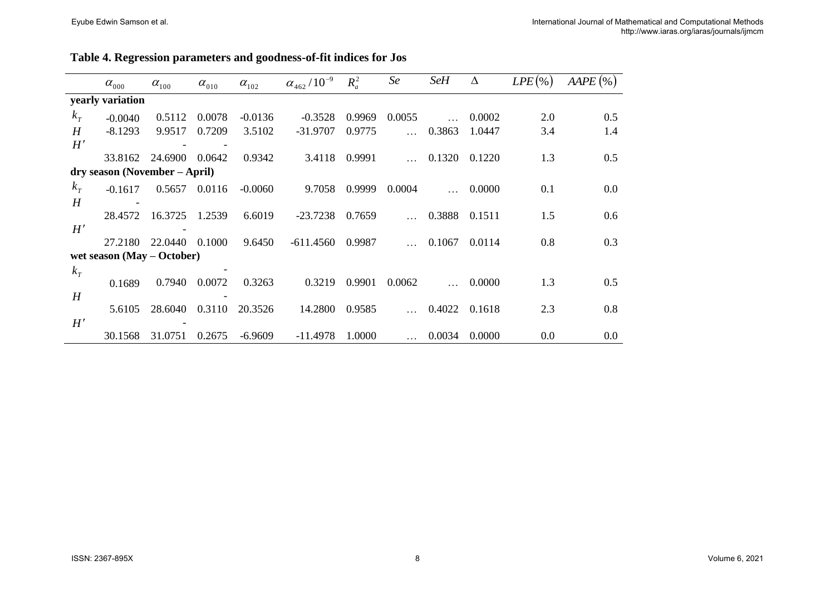#### **Table 4. Regression parameters and goodness-of-fit indices for Jos**

|       | $\alpha_{000}$                | $\alpha_{100}$ | $\alpha_{010}$ | $\alpha_{102}$ | $\alpha_{462}/10^{-9}$ | $R_a^2$ | Se     | <b>SeH</b> | Δ      | $LPE$ (%) | $AAPE$ (%) |
|-------|-------------------------------|----------------|----------------|----------------|------------------------|---------|--------|------------|--------|-----------|------------|
|       | yearly variation              |                |                |                |                        |         |        |            |        |           |            |
| $k_T$ | $-0.0040$                     | 0.5112         | 0.0078         | $-0.0136$      | $-0.3528$              | 0.9969  | 0.0055 |            | 0.0002 | 2.0       | 0.5        |
| H     | $-8.1293$                     | 9.9517         | 0.7209         | 3.5102         | $-31.9707$             | 0.9775  |        | 0.3863     | 1.0447 | 3.4       | 1.4        |
| H'    |                               |                |                |                |                        |         |        |            |        |           |            |
|       | 33.8162                       | 24.6900        | 0.0642         | 0.9342         | 3.4118                 | 0.9991  |        | 0.1320     | 0.1220 | 1.3       | 0.5        |
|       | dry season (November – April) |                |                |                |                        |         |        |            |        |           |            |
| $k_T$ | $-0.1617$                     | 0.5657         | 0.0116         | $-0.0060$      | 9.7058                 | 0.9999  | 0.0004 |            | 0.0000 | 0.1       | 0.0        |
| H     |                               |                |                |                |                        |         |        |            |        |           |            |
|       | 28.4572                       | 16.3725        | 1.2539         | 6.6019         | $-23.7238$             | 0.7659  |        | 0.3888     | 0.1511 | 1.5       | 0.6        |
| H'    |                               |                |                |                |                        |         |        |            |        |           |            |
|       | 27.2180                       | 22.0440        | 0.1000         | 9.6450         | $-611.4560$            | 0.9987  |        | 0.1067     | 0.0114 | 0.8       | 0.3        |
|       | wet season $(May - October)$  |                |                |                |                        |         |        |            |        |           |            |
| $k_T$ |                               |                |                |                |                        |         |        |            |        |           |            |
|       | 0.1689                        | 0.7940         | 0.0072         | 0.3263         | 0.3219                 | 0.9901  | 0.0062 |            | 0.0000 | 1.3       | 0.5        |
| H     |                               |                |                |                |                        |         |        |            |        |           |            |
|       | 5.6105                        | 28.6040        | 0.3110         | 20.3526        | 14.2800                | 0.9585  |        | 0.4022     | 0.1618 | 2.3       | 0.8        |
| H'    |                               |                |                |                |                        |         |        |            |        |           |            |
|       | 30.1568                       | 31.0751        | 0.2675         | $-6.9609$      | $-11.4978$             | 1.0000  |        | 0.0034     | 0.0000 | 0.0       | 0.0        |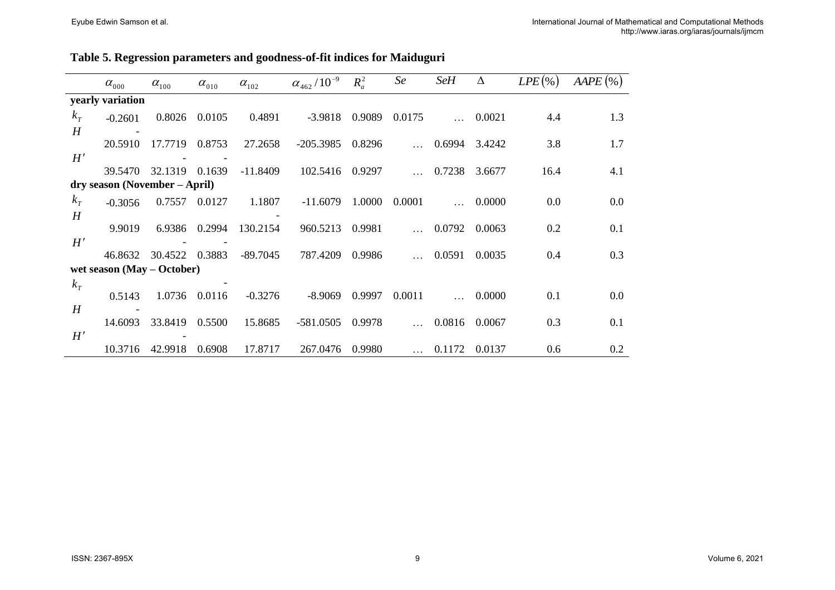| Table 5. Regression parameters and goodness-of-fit indices for Maiduguri |  |  |  |
|--------------------------------------------------------------------------|--|--|--|
|--------------------------------------------------------------------------|--|--|--|

|       | $\alpha_{000}$                | $\alpha_{100}$ | $\alpha_{010}$ | $\alpha_{102}$ | $\alpha_{\scriptscriptstyle 462}$ / $10^{-9}$ | $R_a^2$ | Se     | <b>SeH</b> | Δ      | $LPE$ (%) | $AAPE$ (%) |
|-------|-------------------------------|----------------|----------------|----------------|-----------------------------------------------|---------|--------|------------|--------|-----------|------------|
|       | yearly variation              |                |                |                |                                               |         |        |            |        |           |            |
| $k_T$ | $-0.2601$                     | 0.8026         | 0.0105         | 0.4891         | $-3.9818$                                     | 0.9089  | 0.0175 |            | 0.0021 | 4.4       | 1.3        |
| H     |                               |                |                |                |                                               |         |        |            |        |           |            |
|       | 20.5910                       | 17.7719        | 0.8753         | 27.2658        | $-205.3985$                                   | 0.8296  |        | 0.6994     | 3.4242 | 3.8       | 1.7        |
| H'    |                               |                |                |                |                                               |         |        |            |        |           |            |
|       | 39.5470                       | 32.1319        | 0.1639         | $-11.8409$     | 102.5416                                      | 0.9297  |        | 0.7238     | 3.6677 | 16.4      | 4.1        |
|       | dry season (November – April) |                |                |                |                                               |         |        |            |        |           |            |
| $k_T$ | $-0.3056$                     | 0.7557         | 0.0127         | 1.1807         | $-11.6079$                                    | 1.0000  | 0.0001 |            | 0.0000 | 0.0       | 0.0        |
| H     |                               |                |                |                |                                               |         |        |            |        |           |            |
|       | 9.9019                        | 6.9386         | 0.2994         | 130.2154       | 960.5213                                      | 0.9981  |        | 0.0792     | 0.0063 | 0.2       | 0.1        |
| H'    |                               |                |                |                |                                               |         |        |            |        |           |            |
|       | 46.8632                       | 30.4522        | 0.3883         | $-89.7045$     | 787.4209                                      | 0.9986  |        | 0.0591     | 0.0035 | 0.4       | 0.3        |
|       | wet season $(May - October)$  |                |                |                |                                               |         |        |            |        |           |            |
| $k_T$ |                               |                |                |                |                                               |         |        |            |        |           |            |
|       | 0.5143                        | 1.0736         | 0.0116         | $-0.3276$      | $-8.9069$                                     | 0.9997  | 0.0011 |            | 0.0000 | 0.1       | 0.0        |
| H     | 14.6093                       | 33.8419        | 0.5500         | 15.8685        | $-581.0505$                                   | 0.9978  |        | 0.0816     | 0.0067 | 0.3       | 0.1        |
| H'    |                               |                |                |                |                                               |         |        |            |        |           |            |
|       | 10.3716                       | 42.9918        | 0.6908         | 17.8717        | 267.0476                                      | 0.9980  |        | 0.1172     | 0.0137 | 0.6       | 0.2        |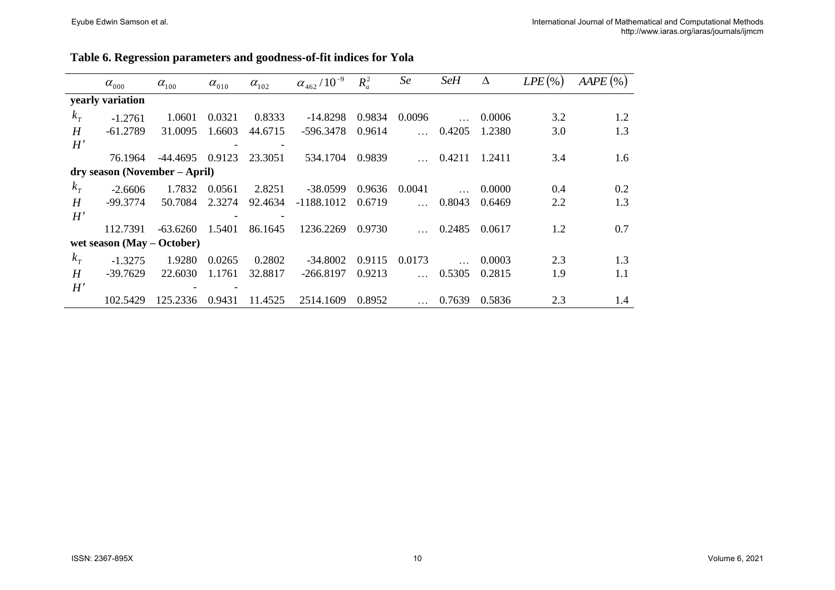| Table 6. Regression parameters and goodness-of-fit indices for Yola |  |
|---------------------------------------------------------------------|--|
|---------------------------------------------------------------------|--|

|       | $\alpha_{000}$                | $\alpha_{100}$ | $\alpha_{010}$ | $\alpha_{102}$ | $\alpha_{\scriptscriptstyle 462}$ / $10^{-9}$ | $R_a^2$ | Se             | <b>SeH</b> | Δ      | $LPE$ (%) | $AAPE$ (%) |
|-------|-------------------------------|----------------|----------------|----------------|-----------------------------------------------|---------|----------------|------------|--------|-----------|------------|
|       | yearly variation              |                |                |                |                                               |         |                |            |        |           |            |
| $k_T$ | $-1.2761$                     | 1.0601         | 0.0321         | 0.8333         | $-14.8298$                                    | 0.9834  | 0.0096         |            | 0.0006 | 3.2       | 1.2        |
| H     | $-61.2789$                    | 31.0095        | 1.6603         | 44.6715        | -596.3478                                     | 0.9614  | ilist.         | 0.4205     | 1.2380 | 3.0       | 1.3        |
| H'    |                               |                |                |                |                                               |         |                |            |        |           |            |
|       | 76.1964                       | -44.4695       | 0.9123         | 23.3051        | 534.1704                                      | 0.9839  |                | 0.4211     | 1.2411 | 3.4       | 1.6        |
|       | dry season (November – April) |                |                |                |                                               |         |                |            |        |           |            |
| $k_T$ | $-2.6606$                     | 1.7832         | 0.0561         | 2.8251         | $-38.0599$                                    | 0.9636  | 0.0041         |            | 0.0000 | 0.4       | 0.2        |
| H     | -99.3774                      | 50.7084        | 2.3274         | 92.4634        | $-1188.1012$                                  | 0.6719  | $\mathbb{R}^2$ | 0.8043     | 0.6469 | 2.2       | 1.3        |
| H'    |                               |                |                |                |                                               |         |                |            |        |           |            |
|       | 112.7391                      | $-63.6260$     | 1.5401         | 86.1645        | 1236.2269                                     | 0.9730  |                | 0.2485     | 0.0617 | 1.2       | 0.7        |
|       | wet season $(May - October)$  |                |                |                |                                               |         |                |            |        |           |            |
| $k_T$ | $-1.3275$                     | 1.9280         | 0.0265         | 0.2802         | $-34.8002$                                    | 0.9115  | 0.0173         |            | 0.0003 | 2.3       | 1.3        |
| H     | $-39.7629$                    | 22.6030        | 1.1761         | 32.8817        | $-266.8197$                                   | 0.9213  | $\mathbf{1}$   | 0.5305     | 0.2815 | 1.9       | 1.1        |
| H'    |                               |                |                |                |                                               |         |                |            |        |           |            |
|       | 102.5429                      | 125.2336       | 0.9431         | 11.4525        | 2514.1609                                     | 0.8952  |                | 0.7639     | 0.5836 | 2.3       | 1.4        |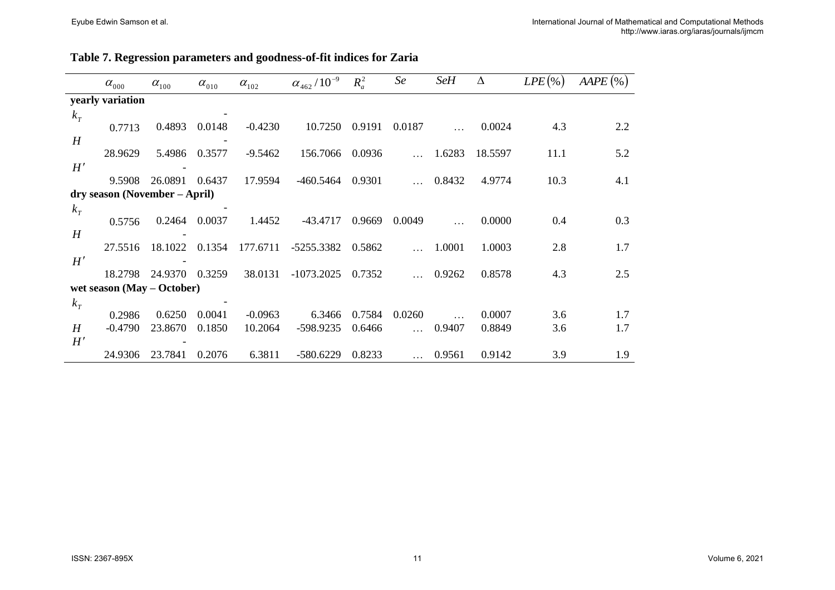#### **Table 7. Regression parameters and goodness-of-fit indices for Zaria**

|             | $\alpha_{_{000}}$             | $\alpha_{100}$ | $\alpha_{010}$ | $\alpha_{102}$ | $\alpha_{\scriptscriptstyle 462}$ / $10^{-9}$ | $R_a^2$ | Se       | <b>SeH</b> | $\Delta$ | $LPE$ (%) | $AAPE$ (%) |
|-------------|-------------------------------|----------------|----------------|----------------|-----------------------------------------------|---------|----------|------------|----------|-----------|------------|
|             | yearly variation              |                |                |                |                                               |         |          |            |          |           |            |
| $k_T$       |                               |                |                |                |                                               |         |          |            |          |           |            |
|             | 0.7713                        | 0.4893         | 0.0148         | $-0.4230$      | 10.7250                                       | 0.9191  | 0.0187   |            | 0.0024   | 4.3       | 2.2        |
| H           |                               |                |                |                |                                               |         |          |            |          |           |            |
|             | 28.9629                       | 5.4986         | 0.3577         | $-9.5462$      | 156.7066                                      | 0.0936  |          | 1.6283     | 18.5597  | 11.1      | 5.2        |
| H'          |                               |                |                |                |                                               |         |          |            |          |           |            |
|             | 9.5908                        | 26.0891        | 0.6437         | 17.9594        | $-460.5464$                                   | 0.9301  |          | 0.8432     | 4.9774   | 10.3      | 4.1        |
|             | dry season (November – April) |                |                |                |                                               |         |          |            |          |           |            |
| $k_T$       |                               |                |                |                |                                               |         |          |            |          |           |            |
|             | 0.5756                        | 0.2464         | 0.0037         | 1.4452         | $-43.4717$                                    | 0.9669  | 0.0049   |            | 0.0000   | 0.4       | 0.3        |
| H           |                               |                |                |                |                                               |         |          |            |          |           |            |
|             | 27.5516                       | 18.1022        | 0.1354         | 177.6711       | -5255.3382                                    | 0.5862  |          | 1.0001     | 1.0003   | 2.8       | 1.7        |
| H'          |                               |                |                |                |                                               |         |          |            |          |           |            |
|             | 18.2798                       | 24.9370        | 0.3259         | 38.0131        | $-1073.2025$                                  | 0.7352  |          | 0.9262     | 0.8578   | 4.3       | 2.5        |
|             | wet season $(May - October)$  |                |                |                |                                               |         |          |            |          |           |            |
| $k_{\rm T}$ |                               |                |                |                |                                               |         |          |            |          |           |            |
|             | 0.2986                        | 0.6250         | 0.0041         | $-0.0963$      | 6.3466                                        | 0.7584  | 0.0260   |            | 0.0007   | 3.6       | 1.7        |
| H           | $-0.4790$                     | 23.8670        | 0.1850         | 10.2064        | -598.9235                                     | 0.6466  |          | 0.9407     | 0.8849   | 3.6       | 1.7        |
| H'          |                               |                |                |                |                                               |         |          |            |          |           |            |
|             | 24.9306                       | 23.7841        | 0.2076         | 6.3811         | $-580.6229$                                   | 0.8233  | $\cdots$ | 0.9561     | 0.9142   | 3.9       | 1.9        |